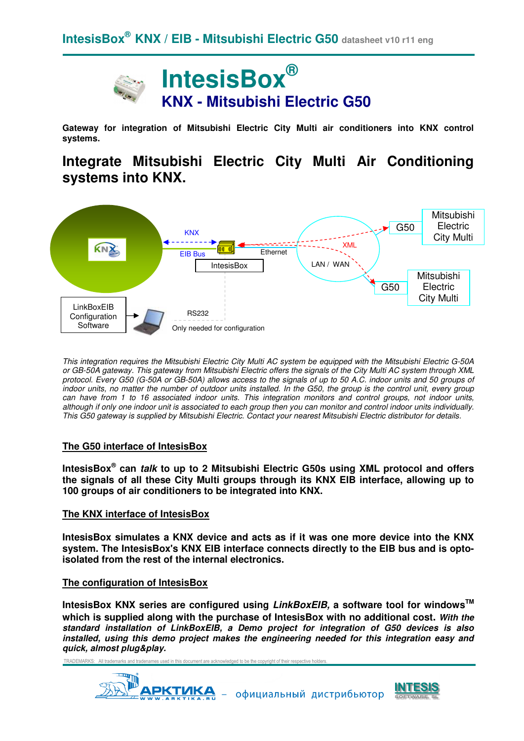

**Gateway for integration of Mitsubishi Electric City Multi air conditioners into KNX control systems.**

# **Integrate Mitsubishi Electric City Multi Air Conditioning systems into KNX.**



This integration requires the Mitsubishi Electric City Multi AC system be equipped with the Mitsubishi Electric G-50A or GB-50A gateway. This gateway from Mitsubishi Electric offers the signals of the City Multi AC system through XML protocol. Every G50 (G-50A or GB-50A) allows access to the signals of up to 50 A.C. indoor units and 50 groups of indoor units, no matter the number of outdoor units installed. In the G50, the group is the control unit, every group can have from 1 to 16 associated indoor units. This integration monitors and control groups, not indoor units, although if only one indoor unit is associated to each group then you can monitor and control indoor units individually. This G50 gateway is supplied by Mitsubishi Electric. Contact your nearest Mitsubishi Electric distributor for details.

#### **The G50 interface of IntesisBox**

**IntesisBox® can talk to up to 2 Mitsubishi Electric G50s using XML protocol and offers the signals of all these City Multi groups through its KNX EIB interface, allowing up to 100 groups of air conditioners to be integrated into KNX.** 

#### **The KNX interface of IntesisBox**

**IntesisBox simulates a KNX device and acts as if it was one more device into the KNX system. The IntesisBox's KNX EIB interface connects directly to the EIB bus and is optoisolated from the rest of the internal electronics.**

#### **The configuration of IntesisBox**

**IntesisBox KNX series are configured using LinkBoxEIB, a software tool for windowsTM which is supplied along with the purchase of IntesisBox with no additional cost. With the standard installation of LinkBoxEIB, a Demo project for integration of G50 devices is also installed, using this demo project makes the engineering needed for this integration easy and quick, almost plug&play.**

TRADEMARKS: All trademarks and tradenames used in this document are acknowledged to be the copyright of their respective holders.



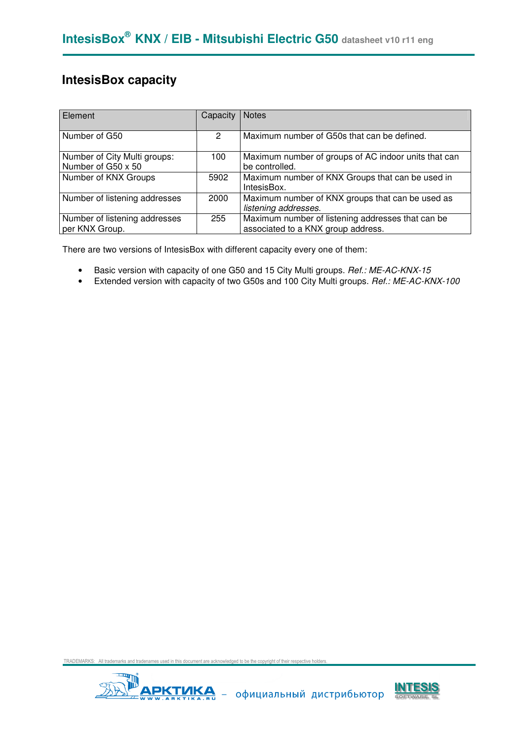### **IntesisBox capacity**

| Element                                            | Capacity | <b>Notes</b>                                                                            |
|----------------------------------------------------|----------|-----------------------------------------------------------------------------------------|
| Number of G50                                      | 2        | Maximum number of G50s that can be defined.                                             |
| Number of City Multi groups:<br>Number of G50 x 50 | 100      | Maximum number of groups of AC indoor units that can<br>be controlled.                  |
| Number of KNX Groups                               | 5902     | Maximum number of KNX Groups that can be used in<br>IntesisBox.                         |
| Number of listening addresses                      | 2000     | Maximum number of KNX groups that can be used as<br>listening addresses.                |
| Number of listening addresses<br>per KNX Group.    | 255      | Maximum number of listening addresses that can be<br>associated to a KNX group address. |

There are two versions of IntesisBox with different capacity every one of them:

- Basic version with capacity of one G50 and 15 City Multi groups. Ref.: ME-AC-KNX-15
- Extended version with capacity of two G50s and 100 City Multi groups. Ref.: ME-AC-KNX-100



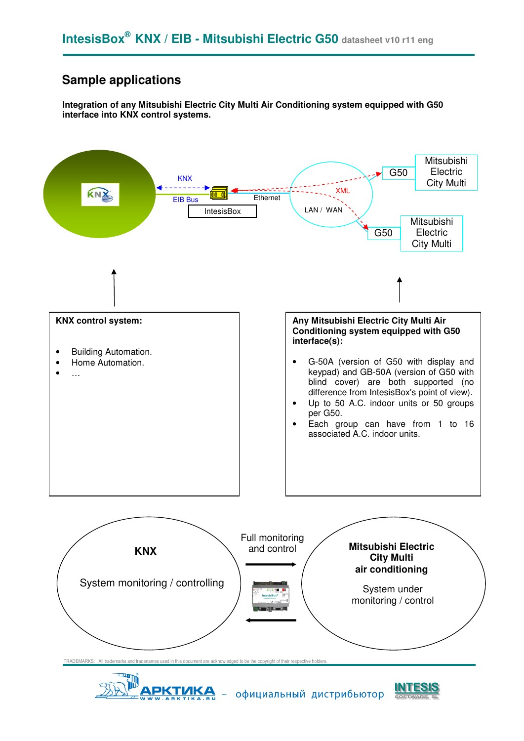### **Sample applications**

**Integration of any Mitsubishi Electric City Multi Air Conditioning system equipped with G50 interface into KNX control systems.** 





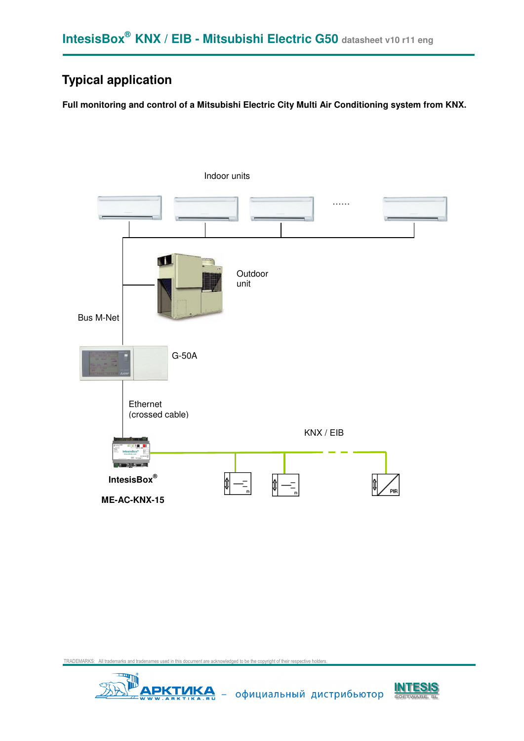## **Typical application**

**Full monitoring and control of a Mitsubishi Electric City Multi Air Conditioning system from KNX.** 





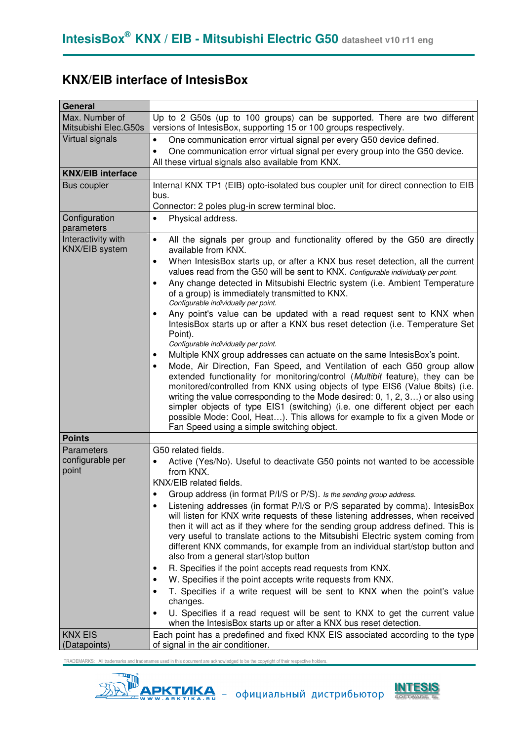# **KNX/EIB interface of IntesisBox**

| <b>General</b>                              |                                                                                                                                                                                                                                                                                                                                                                                                                                                                                                                                                                                                                                                                                                                                                                                                                                                                                                                                                                                                                                                                                                                                                                                                                                                                                            |
|---------------------------------------------|--------------------------------------------------------------------------------------------------------------------------------------------------------------------------------------------------------------------------------------------------------------------------------------------------------------------------------------------------------------------------------------------------------------------------------------------------------------------------------------------------------------------------------------------------------------------------------------------------------------------------------------------------------------------------------------------------------------------------------------------------------------------------------------------------------------------------------------------------------------------------------------------------------------------------------------------------------------------------------------------------------------------------------------------------------------------------------------------------------------------------------------------------------------------------------------------------------------------------------------------------------------------------------------------|
| Max. Number of<br>Mitsubishi Elec.G50s      | Up to 2 G50s (up to 100 groups) can be supported. There are two different<br>versions of IntesisBox, supporting 15 or 100 groups respectively.                                                                                                                                                                                                                                                                                                                                                                                                                                                                                                                                                                                                                                                                                                                                                                                                                                                                                                                                                                                                                                                                                                                                             |
| Virtual signals                             | One communication error virtual signal per every G50 device defined.<br>$\bullet$<br>One communication error virtual signal per every group into the G50 device.<br>$\bullet$<br>All these virtual signals also available from KNX.                                                                                                                                                                                                                                                                                                                                                                                                                                                                                                                                                                                                                                                                                                                                                                                                                                                                                                                                                                                                                                                        |
| <b>KNX/EIB interface</b>                    |                                                                                                                                                                                                                                                                                                                                                                                                                                                                                                                                                                                                                                                                                                                                                                                                                                                                                                                                                                                                                                                                                                                                                                                                                                                                                            |
| Bus coupler                                 | Internal KNX TP1 (EIB) opto-isolated bus coupler unit for direct connection to EIB<br>bus.<br>Connector: 2 poles plug-in screw terminal bloc.                                                                                                                                                                                                                                                                                                                                                                                                                                                                                                                                                                                                                                                                                                                                                                                                                                                                                                                                                                                                                                                                                                                                              |
| Configuration<br>parameters                 | Physical address.<br>$\bullet$                                                                                                                                                                                                                                                                                                                                                                                                                                                                                                                                                                                                                                                                                                                                                                                                                                                                                                                                                                                                                                                                                                                                                                                                                                                             |
| Interactivity with<br><b>KNX/EIB</b> system | All the signals per group and functionality offered by the G50 are directly<br>$\bullet$<br>available from KNX.<br>When IntesisBox starts up, or after a KNX bus reset detection, all the current<br>$\bullet$<br>values read from the G50 will be sent to KNX. Configurable individually per point.<br>Any change detected in Mitsubishi Electric system (i.e. Ambient Temperature<br>of a group) is immediately transmitted to KNX.<br>Configurable individually per point.<br>Any point's value can be updated with a read request sent to KNX when<br>٠<br>IntesisBox starts up or after a KNX bus reset detection (i.e. Temperature Set<br>Point).<br>Configurable individually per point.<br>Multiple KNX group addresses can actuate on the same Intesis Box's point.<br>$\bullet$<br>Mode, Air Direction, Fan Speed, and Ventilation of each G50 group allow<br>٠<br>extended functionality for monitoring/control (Multibit feature), they can be<br>monitored/controlled from KNX using objects of type EIS6 (Value 8bits) (i.e.<br>writing the value corresponding to the Mode desired: 0, 1, 2, 3) or also using<br>simpler objects of type EIS1 (switching) (i.e. one different object per each<br>possible Mode: Cool, Heat). This allows for example to fix a given Mode or |
|                                             | Fan Speed using a simple switching object.                                                                                                                                                                                                                                                                                                                                                                                                                                                                                                                                                                                                                                                                                                                                                                                                                                                                                                                                                                                                                                                                                                                                                                                                                                                 |
| <b>Points</b>                               |                                                                                                                                                                                                                                                                                                                                                                                                                                                                                                                                                                                                                                                                                                                                                                                                                                                                                                                                                                                                                                                                                                                                                                                                                                                                                            |
| Parameters<br>configurable per<br>point     | G50 related fields.<br>Active (Yes/No). Useful to deactivate G50 points not wanted to be accessible<br>٠<br>from KNX.<br>KNX/EIB related fields.<br>Group address (in format P/I/S or P/S). Is the sending group address.<br>Listening addresses (in format P/I/S or P/S separated by comma). IntesisBox<br>will listen for KNX write requests of these listening addresses, when received<br>then it will act as if they where for the sending group address defined. This is<br>very useful to translate actions to the Mitsubishi Electric system coming from<br>different KNX commands, for example from an individual start/stop button and<br>also from a general start/stop button<br>R. Specifies if the point accepts read requests from KNX.<br>٠<br>W. Specifies if the point accepts write requests from KNX.<br>٠<br>T. Specifies if a write request will be sent to KNX when the point's value<br>changes.<br>U. Specifies if a read request will be sent to KNX to get the current value<br>when the IntesisBox starts up or after a KNX bus reset detection.                                                                                                                                                                                                               |
| <b>KNX EIS</b><br>(Datapoints)              | Each point has a predefined and fixed KNX EIS associated according to the type<br>of signal in the air conditioner.                                                                                                                                                                                                                                                                                                                                                                                                                                                                                                                                                                                                                                                                                                                                                                                                                                                                                                                                                                                                                                                                                                                                                                        |



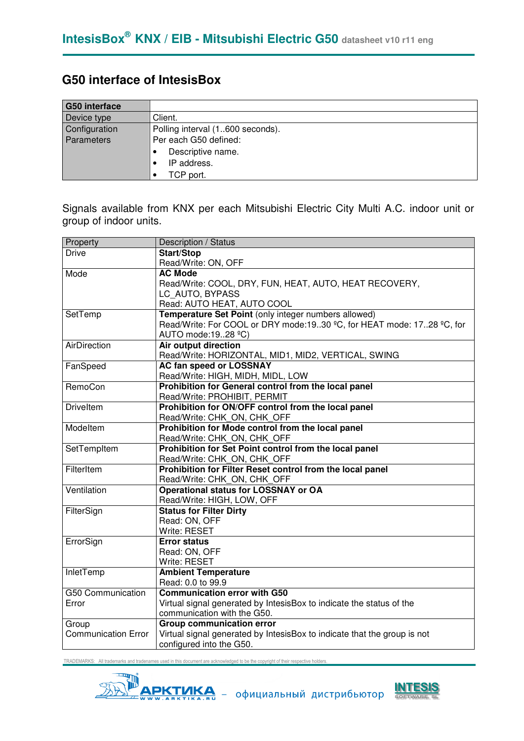### **G50 interface of IntesisBox**

| <b>G50</b> interface |                                  |
|----------------------|----------------------------------|
| Device type          | Client.                          |
| Configuration        | Polling interval (1600 seconds). |
| Parameters           | Per each G50 defined:            |
|                      | Descriptive name.                |
|                      | IP address.                      |
|                      | TCP port.                        |

Signals available from KNX per each Mitsubishi Electric City Multi A.C. indoor unit or group of indoor units.

| Property                   | Description / Status                                                     |
|----------------------------|--------------------------------------------------------------------------|
| <b>Drive</b>               | <b>Start/Stop</b>                                                        |
|                            | Read/Write: ON, OFF                                                      |
| Mode                       | <b>AC Mode</b>                                                           |
|                            | Read/Write: COOL, DRY, FUN, HEAT, AUTO, HEAT RECOVERY,                   |
|                            | LC AUTO, BYPASS                                                          |
|                            | Read: AUTO HEAT, AUTO COOL                                               |
| SetTemp                    | Temperature Set Point (only integer numbers allowed)                     |
|                            | Read/Write: For COOL or DRY mode:1930 °C, for HEAT mode: 1728 °C, for    |
|                            | AUTO mode:1928 °C)                                                       |
| AirDirection               | <b>Air output direction</b>                                              |
|                            | Read/Write: HORIZONTAL, MID1, MID2, VERTICAL, SWING                      |
| FanSpeed                   | <b>AC fan speed or LOSSNAY</b>                                           |
|                            | Read/Write: HIGH, MIDH, MIDL, LOW                                        |
| RemoCon                    | Prohibition for General control from the local panel                     |
|                            | Read/Write: PROHIBIT, PERMIT                                             |
| <b>Driveltem</b>           | Prohibition for ON/OFF control from the local panel                      |
|                            | Read/Write: CHK ON, CHK OFF                                              |
| Modeltem                   | Prohibition for Mode control from the local panel                        |
|                            | Read/Write: CHK_ON, CHK_OFF                                              |
| SetTempItem                | Prohibition for Set Point control from the local panel                   |
|                            | Read/Write: CHK_ON, CHK_OFF                                              |
| FilterItem                 | Prohibition for Filter Reset control from the local panel                |
|                            | Read/Write: CHK_ON, CHK_OFF                                              |
| Ventilation                | <b>Operational status for LOSSNAY or OA</b>                              |
|                            | Read/Write: HIGH, LOW, OFF                                               |
| FilterSign                 | <b>Status for Filter Dirty</b>                                           |
|                            | Read: ON, OFF                                                            |
|                            | Write: RESET                                                             |
| ErrorSign                  | <b>Error status</b>                                                      |
|                            | Read: ON, OFF                                                            |
|                            | Write: RESET                                                             |
| InletTemp                  | <b>Ambient Temperature</b>                                               |
|                            | Read: 0.0 to 99.9                                                        |
| G50 Communication          | <b>Communication error with G50</b>                                      |
| Error                      | Virtual signal generated by IntesisBox to indicate the status of the     |
|                            | communication with the G50.                                              |
| Group                      | <b>Group communication error</b>                                         |
| <b>Communication Error</b> | Virtual signal generated by IntesisBox to indicate that the group is not |
|                            | configured into the G50.                                                 |



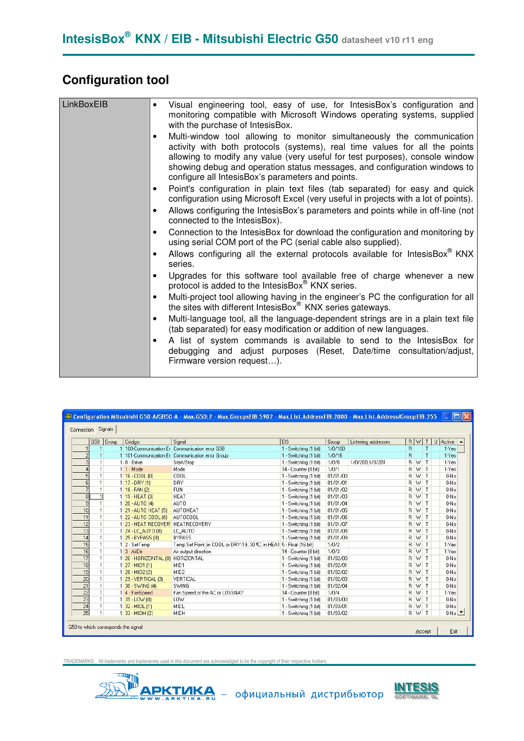# **Configuration tool**

| LinkBoxEIB | Visual engineering tool, easy of use, for IntesisBox's configuration and<br>$\bullet$<br>monitoring compatible with Microsoft Windows operating systems, supplied<br>with the purchase of IntesisBox.                                                                                                                                                                   |
|------------|-------------------------------------------------------------------------------------------------------------------------------------------------------------------------------------------------------------------------------------------------------------------------------------------------------------------------------------------------------------------------|
|            | Multi-window tool allowing to monitor simultaneously the communication<br>activity with both protocols (systems), real time values for all the points<br>allowing to modify any value (very useful for test purposes), console window<br>showing debug and operation status messages, and configuration windows to<br>configure all IntesisBox's parameters and points. |
|            | Point's configuration in plain text files (tab separated) for easy and quick<br>٠<br>configuration using Microsoft Excel (very useful in projects with a lot of points).                                                                                                                                                                                                |
|            | Allows configuring the IntesisBox's parameters and points while in off-line (not<br>connected to the IntesisBox).                                                                                                                                                                                                                                                       |
|            | Connection to the IntesisBox for download the configuration and monitoring by<br>$\bullet$<br>using serial COM port of the PC (serial cable also supplied).                                                                                                                                                                                                             |
|            | Allows configuring all the external protocols available for IntesisBox KNX<br>series.                                                                                                                                                                                                                                                                                   |
|            | Upgrades for this software tool available free of charge whenever a new<br>protocol is added to the IntesisBox® KNX series.                                                                                                                                                                                                                                             |
|            | Multi-project tool allowing having in the engineer's PC the configuration for all<br>$\bullet$<br>the sites with different IntesisBox <sup>®</sup> KNX series gateways.                                                                                                                                                                                                 |
|            | Multi-language tool, all the language-dependent strings are in a plain text file<br>٠<br>(tab separated) for easy modification or addition of new languages.                                                                                                                                                                                                            |
|            | A list of system commands is available to send to the IntesisBox for<br>debugging and adjust purposes (Reset, Date/time consultation/adjust,<br>Firmware version request).                                                                                                                                                                                              |
|            |                                                                                                                                                                                                                                                                                                                                                                         |

| Connection Signals                |       |                                          |                                                                    |                       |          |                     |       |       |              |                       |
|-----------------------------------|-------|------------------------------------------|--------------------------------------------------------------------|-----------------------|----------|---------------------|-------|-------|--------------|-----------------------|
| G50                               | Group | Código                                   | Signal                                                             | <b>EIS</b>            | Group    | Listening addresses | $R$ W |       | $\mathsf{T}$ | $\cup$<br>Active 4    |
|                                   |       |                                          | 1 100-Communication Er Communication error G50                     | 1 - Switching (1 bit) | 1/0/100  |                     | R.    |       |              | $1 - Yes$             |
| $\overline{c}$                    |       |                                          | 1 101-Communication Er Communication error Group                   | 1 - Switching (1 bit) | 1/0/16   |                     | R     |       | т            | $1 - Yes$             |
|                                   |       | 10 - Drive                               | Start/Stop                                                         | 1 - Switching [1 bit] | 1/0/0    | 1/0/200.1/0/201     | R W   |       | $\mathsf{T}$ | $1 - Yes$             |
| 1 <sup>1</sup>                    |       | $11 \cdot Mode$                          | Mode                                                               | 14 - Counter (8 bit)  | 1/0/1    |                     | R W   |       | T            | $1 - Yes$             |
| 5 <sup>1</sup>                    |       | $116 - COOL$ (0)                         | COOL                                                               | 1 - Switching (1 bit) | 01/01/00 |                     | R W   |       | $\mathsf{T}$ | 0-No                  |
| 6                                 |       | 1 17 - DRY (1)                           | <b>DRY</b>                                                         | 1 - Switching (1 bit) | 01/01/01 |                     |       | R W T |              | 0-No                  |
| 1 <sup>1</sup>                    |       | 1 18 - FAN (2)                           | <b>FUN</b>                                                         | 1 - Switching [1 bit] | 01/01/02 |                     | B W   |       | $\mathsf{T}$ | 0-No                  |
| ĩ<br>8                            |       | 1 19 - HEAT [3]                          | <b>HEAT</b>                                                        | 1 - Switching [1 bit] | 01/01/03 |                     | B.    | W     | T            | $0-N0$                |
| $\overline{9}$                    |       | 1 20 - AUTO (4)                          | <b>AUTO</b>                                                        | 1 - Switching (1 bit) | 01/01/04 |                     | R W   |       | T            | 0-No                  |
| 10                                |       | 1 21 - AUTO HEAT (5)                     | AUTOHEAT                                                           | 1 - Switching (1 bit) | 01/01/05 |                     |       | R W   | $\mathsf{T}$ | 0-No                  |
| 11<br>1                           |       | 1 22 - AUTO COOL (6)                     | AUTOCOOL                                                           | 1 - Switching [1 bit] | 01/01/06 |                     | R.    | W     | $\mathsf{T}$ | 0-No                  |
| 12<br>$\mathbf{1}$                |       | 1 23 - HEAT RECOVER' HEATRECOVERY        |                                                                    | 1 - Switching [1 bit] | 01/01/07 |                     | B.    | W     | $\mathsf{T}$ | $0-N0$                |
| 13<br>$\mathbf{1}$                |       | 1 24 - LC AUTO (8)                       | LC AUTO                                                            | 1 - Switching (1 bit) | 01/01/08 |                     | R W   |       | $\mathsf{T}$ | 0-No                  |
| 14<br>$\mathbf{1}$                |       | 1 25 - BYPASS [9]                        | <b>BYPASS</b>                                                      | 1 - Switching (1 bit) | 01/01/09 |                     |       | R W T |              | 0-No                  |
| 15<br>1                           |       | 1 2 - SetTemp                            | Temp.Set Point (in COOL or DRY:1930 °C; in HEA1 5 - Float (16 bit) |                       | 1/0/2    |                     | R W   |       | $\mathsf{T}$ | $1-Yes$               |
| 16<br>$\mathbf{1}$                |       | $1 \overline{3} \cdot \overline{AirDir}$ | Air output direction                                               | 14 - Counter (8 bit)  | 1/0/3    |                     |       | R W   | $\mathsf{T}$ | $1 - Yes$             |
| 17<br>$\mathbf{1}$                |       | 1 26 - HORIZONTAL (0) HORIZONTAL         |                                                                    | 1 - Switching (1 bit) | 01/02/00 |                     | R W   |       | $\mathsf{T}$ | 0-No                  |
| 18<br>$\mathbf{1}$                |       | $1$ 27 - MID1 (1)                        | MID1                                                               | 1 - Switching (1 bit) | 01/02/01 |                     |       | R W   | $\mathsf{T}$ | 0-No                  |
| 19                                |       | 1 28 - MID2 [2]                          | MID <sub>2</sub>                                                   | 1 - Switching [1 bit] | 01/02/02 |                     | R.    | W     | $\mathsf{T}$ | 0-No                  |
| 20<br>$\mathbf{1}$                |       | 1 29 - VERTICAL (3)                      | VERTICAL                                                           | 1 - Switching [1 bit] | 01/02/03 |                     |       | R W   | $\mathsf{T}$ | 0-No                  |
| 21<br>$\mathbf{1}$                |       | 1 30 - SWING (4)                         | <b>SWING</b>                                                       | 1 - Switching (1 bit) | 01/02/04 |                     |       | R W   | $\mathsf{T}$ | 0-No                  |
| $\overline{22}$<br>$\mathbf{1}$   |       | 1 4 - FanSpeed                           | Fan Speed of the AC or LOSSNAY                                     | 14 - Counter (8 bit)  | 1/0/4    |                     | R W   |       | $\mathsf{T}$ | $1-Yes$               |
| $\overline{23}$<br>$\mathbf{1}$   |       | $1 \overline{31} \cdot$ LOW $[0]$        | LOW                                                                | 1 - Switching (1 bit) | 01/03/00 |                     |       | R W T |              | $0-No$                |
| 24<br>$\mathbf{1}$                |       | $1 \overline{32 \cdot M D L}$ [1]        | MIDL                                                               | 1 - Switching (1 bit) | 01/03/01 |                     |       | R W T |              | $0-No$                |
| $\overline{25}$<br>1 <sup>1</sup> |       | 1 33 - MIDH (2)                          | MIDH                                                               | 1 - Switching (1 bit) | 01/03/02 |                     |       | R W T |              | $0$ -No $\rightarrow$ |



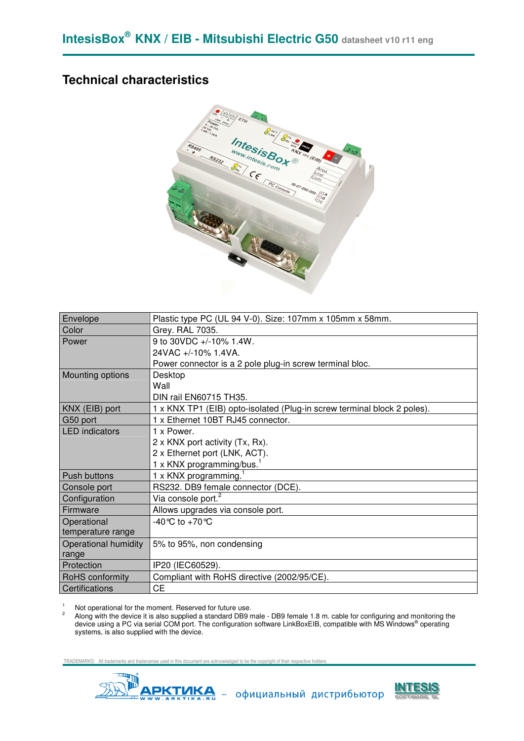### **Technical characteristics**



| Envelope              | Plastic type PC (UL 94 V-0). Size: 107mm x 105mm x 58mm.                |
|-----------------------|-------------------------------------------------------------------------|
| Color                 | Grey. RAL 7035.                                                         |
| Power                 | 9 to 30VDC +/-10% 1.4W.                                                 |
|                       | 24VAC +/-10% 1.4VA.                                                     |
|                       | Power connector is a 2 pole plug-in screw terminal bloc.                |
| Mounting options      | Desktop                                                                 |
|                       | Wall                                                                    |
|                       | DIN rail EN60715 TH35.                                                  |
| KNX (EIB) port        | 1 x KNX TP1 (EIB) opto-isolated (Plug-in screw terminal block 2 poles). |
| G50 port              | 1 x Ethernet 10BT RJ45 connector.                                       |
| <b>LED</b> indicators | 1 x Power.                                                              |
|                       | 2 x KNX port activity (Tx, Rx).                                         |
|                       | 2 x Ethernet port (LNK, ACT).                                           |
|                       | 1 x KNX programming/bus.                                                |
| Push buttons          | 1 x KNX programming.                                                    |
| Console port          | RS232. DB9 female connector (DCE).                                      |
| Configuration         | Via console port. <sup>2</sup>                                          |
| Firmware              | Allows upgrades via console port.                                       |
| Operational           | -40 °C to +70 °C                                                        |
| temperature range     |                                                                         |
| Operational humidity  | 5% to 95%, non condensing                                               |
| range                 |                                                                         |
| Protection            | IP20 (IEC60529).                                                        |
| RoHS conformity       | Compliant with RoHS directive (2002/95/CE).                             |
| Certifications        | <b>CE</b>                                                               |

1 Not operational for the moment. Reserved for future use. 2

 Along with the device it is also supplied a standard DB9 male - DB9 female 1.8 m. cable for configuring and monitoring the device using a PC via serial COM port. The configuration software LinkBoxEIB, compatible with MS Windows® operating systems, is also supplied with the device.